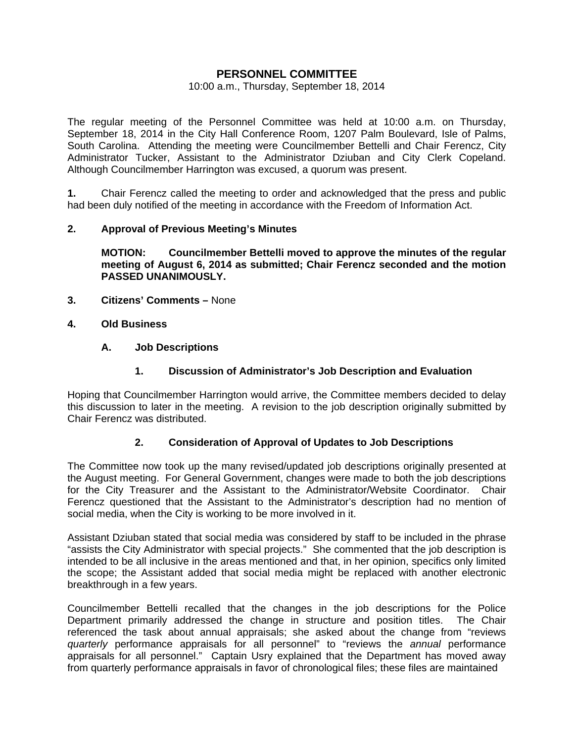# **PERSONNEL COMMITTEE**

#### 10:00 a.m., Thursday, September 18, 2014

The regular meeting of the Personnel Committee was held at 10:00 a.m. on Thursday, September 18, 2014 in the City Hall Conference Room, 1207 Palm Boulevard, Isle of Palms, South Carolina. Attending the meeting were Councilmember Bettelli and Chair Ferencz, City Administrator Tucker, Assistant to the Administrator Dziuban and City Clerk Copeland. Although Councilmember Harrington was excused, a quorum was present.

**1.** Chair Ferencz called the meeting to order and acknowledged that the press and public had been duly notified of the meeting in accordance with the Freedom of Information Act.

### **2. Approval of Previous Meeting's Minutes**

 **MOTION: Councilmember Bettelli moved to approve the minutes of the regular meeting of August 6, 2014 as submitted; Chair Ferencz seconded and the motion PASSED UNANIMOUSLY.** 

- **3. Citizens' Comments** None
- **4. Old Business**

### **A. Job Descriptions**

### **1. Discussion of Administrator's Job Description and Evaluation**

Hoping that Councilmember Harrington would arrive, the Committee members decided to delay this discussion to later in the meeting. A revision to the job description originally submitted by Chair Ferencz was distributed.

### **2. Consideration of Approval of Updates to Job Descriptions**

The Committee now took up the many revised/updated job descriptions originally presented at the August meeting. For General Government, changes were made to both the job descriptions for the City Treasurer and the Assistant to the Administrator/Website Coordinator. Chair Ferencz questioned that the Assistant to the Administrator's description had no mention of social media, when the City is working to be more involved in it.

Assistant Dziuban stated that social media was considered by staff to be included in the phrase "assists the City Administrator with special projects." She commented that the job description is intended to be all inclusive in the areas mentioned and that, in her opinion, specifics only limited the scope; the Assistant added that social media might be replaced with another electronic breakthrough in a few years.

Councilmember Bettelli recalled that the changes in the job descriptions for the Police Department primarily addressed the change in structure and position titles. The Chair referenced the task about annual appraisals; she asked about the change from "reviews *quarterly* performance appraisals for all personnel" to "reviews the *annual* performance appraisals for all personnel." Captain Usry explained that the Department has moved away from quarterly performance appraisals in favor of chronological files; these files are maintained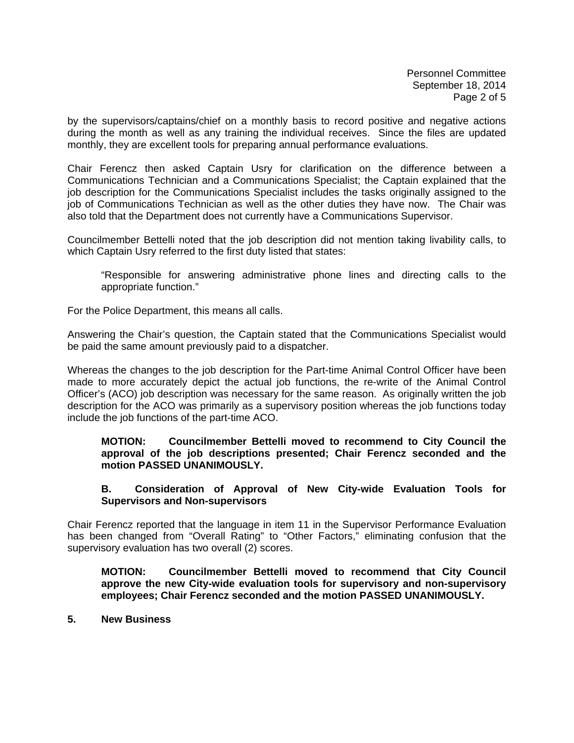Personnel Committee September 18, 2014 Page 2 of 5

by the supervisors/captains/chief on a monthly basis to record positive and negative actions during the month as well as any training the individual receives. Since the files are updated monthly, they are excellent tools for preparing annual performance evaluations.

Chair Ferencz then asked Captain Usry for clarification on the difference between a Communications Technician and a Communications Specialist; the Captain explained that the job description for the Communications Specialist includes the tasks originally assigned to the job of Communications Technician as well as the other duties they have now. The Chair was also told that the Department does not currently have a Communications Supervisor.

Councilmember Bettelli noted that the job description did not mention taking livability calls, to which Captain Usry referred to the first duty listed that states:

 "Responsible for answering administrative phone lines and directing calls to the appropriate function."

For the Police Department, this means all calls.

Answering the Chair's question, the Captain stated that the Communications Specialist would be paid the same amount previously paid to a dispatcher.

Whereas the changes to the job description for the Part-time Animal Control Officer have been made to more accurately depict the actual job functions, the re-write of the Animal Control Officer's (ACO) job description was necessary for the same reason. As originally written the job description for the ACO was primarily as a supervisory position whereas the job functions today include the job functions of the part-time ACO.

### **MOTION: Councilmember Bettelli moved to recommend to City Council the approval of the job descriptions presented; Chair Ferencz seconded and the motion PASSED UNANIMOUSLY.**

### **B. Consideration of Approval of New City-wide Evaluation Tools for Supervisors and Non-supervisors**

Chair Ferencz reported that the language in item 11 in the Supervisor Performance Evaluation has been changed from "Overall Rating" to "Other Factors," eliminating confusion that the supervisory evaluation has two overall (2) scores.

**MOTION: Councilmember Bettelli moved to recommend that City Council approve the new City-wide evaluation tools for supervisory and non-supervisory employees; Chair Ferencz seconded and the motion PASSED UNANIMOUSLY.** 

# **5. New Business**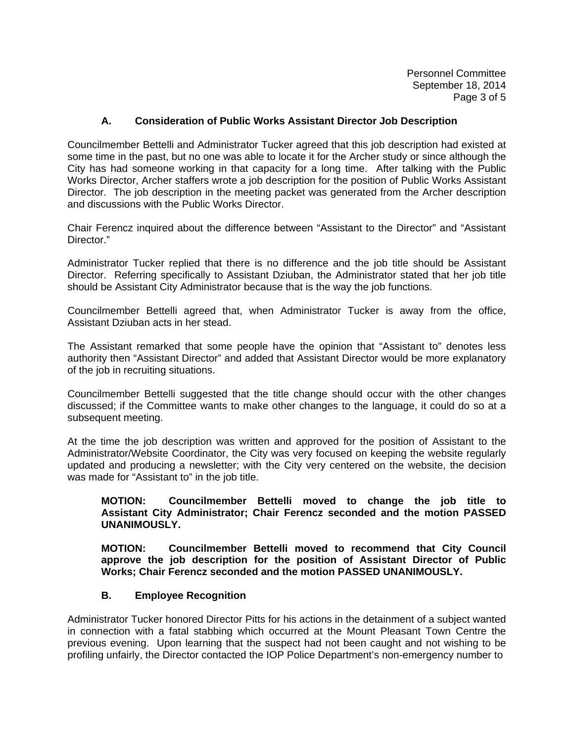Personnel Committee September 18, 2014 Page 3 of 5

# **A. Consideration of Public Works Assistant Director Job Description**

Councilmember Bettelli and Administrator Tucker agreed that this job description had existed at some time in the past, but no one was able to locate it for the Archer study or since although the City has had someone working in that capacity for a long time. After talking with the Public Works Director, Archer staffers wrote a job description for the position of Public Works Assistant Director. The job description in the meeting packet was generated from the Archer description and discussions with the Public Works Director.

Chair Ferencz inquired about the difference between "Assistant to the Director" and "Assistant Director."

Administrator Tucker replied that there is no difference and the job title should be Assistant Director. Referring specifically to Assistant Dziuban, the Administrator stated that her job title should be Assistant City Administrator because that is the way the job functions.

Councilmember Bettelli agreed that, when Administrator Tucker is away from the office, Assistant Dziuban acts in her stead.

The Assistant remarked that some people have the opinion that "Assistant to" denotes less authority then "Assistant Director" and added that Assistant Director would be more explanatory of the job in recruiting situations.

Councilmember Bettelli suggested that the title change should occur with the other changes discussed; if the Committee wants to make other changes to the language, it could do so at a subsequent meeting.

At the time the job description was written and approved for the position of Assistant to the Administrator/Website Coordinator, the City was very focused on keeping the website regularly updated and producing a newsletter; with the City very centered on the website, the decision was made for "Assistant to" in the job title.

### **MOTION: Councilmember Bettelli moved to change the job title to Assistant City Administrator; Chair Ferencz seconded and the motion PASSED UNANIMOUSLY.**

 **MOTION: Councilmember Bettelli moved to recommend that City Council approve the job description for the position of Assistant Director of Public Works; Chair Ferencz seconded and the motion PASSED UNANIMOUSLY.** 

#### **B. Employee Recognition**

Administrator Tucker honored Director Pitts for his actions in the detainment of a subject wanted in connection with a fatal stabbing which occurred at the Mount Pleasant Town Centre the previous evening. Upon learning that the suspect had not been caught and not wishing to be profiling unfairly, the Director contacted the IOP Police Department's non-emergency number to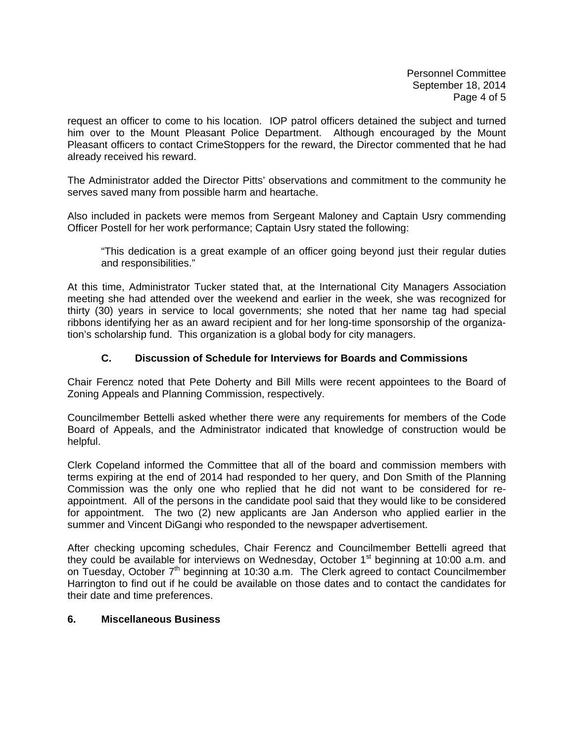Personnel Committee September 18, 2014 Page 4 of 5

request an officer to come to his location. IOP patrol officers detained the subject and turned him over to the Mount Pleasant Police Department. Although encouraged by the Mount Pleasant officers to contact CrimeStoppers for the reward, the Director commented that he had already received his reward.

The Administrator added the Director Pitts' observations and commitment to the community he serves saved many from possible harm and heartache.

Also included in packets were memos from Sergeant Maloney and Captain Usry commending Officer Postell for her work performance; Captain Usry stated the following:

 "This dedication is a great example of an officer going beyond just their regular duties and responsibilities."

At this time, Administrator Tucker stated that, at the International City Managers Association meeting she had attended over the weekend and earlier in the week, she was recognized for thirty (30) years in service to local governments; she noted that her name tag had special ribbons identifying her as an award recipient and for her long-time sponsorship of the organization's scholarship fund. This organization is a global body for city managers.

# **C. Discussion of Schedule for Interviews for Boards and Commissions**

Chair Ferencz noted that Pete Doherty and Bill Mills were recent appointees to the Board of Zoning Appeals and Planning Commission, respectively.

Councilmember Bettelli asked whether there were any requirements for members of the Code Board of Appeals, and the Administrator indicated that knowledge of construction would be helpful.

Clerk Copeland informed the Committee that all of the board and commission members with terms expiring at the end of 2014 had responded to her query, and Don Smith of the Planning Commission was the only one who replied that he did not want to be considered for reappointment. All of the persons in the candidate pool said that they would like to be considered for appointment. The two (2) new applicants are Jan Anderson who applied earlier in the summer and Vincent DiGangi who responded to the newspaper advertisement.

After checking upcoming schedules, Chair Ferencz and Councilmember Bettelli agreed that they could be available for interviews on Wednesday, October  $1<sup>st</sup>$  beginning at 10:00 a.m. and on Tuesday, October 7<sup>th</sup> beginning at 10:30 a.m. The Clerk agreed to contact Councilmember Harrington to find out if he could be available on those dates and to contact the candidates for their date and time preferences.

#### **6. Miscellaneous Business**